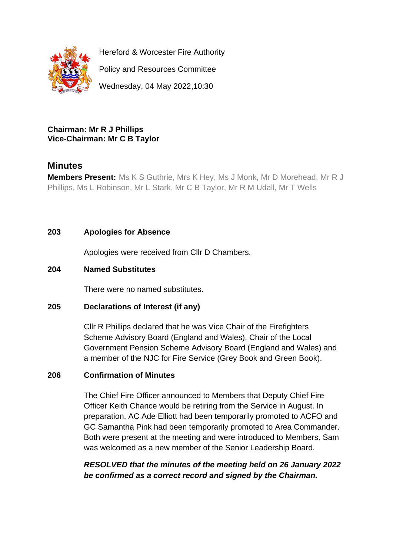

Hereford & Worcester Fire Authority

Policy and Resources Committee

Wednesday, 04 May 2022,10:30

### **Chairman: Mr R J Phillips Vice-Chairman: Mr C B Taylor**

# **Minutes**

**Members Present:** Ms K S Guthrie, Mrs K Hey, Ms J Monk, Mr D Morehead, Mr R J Phillips, Ms L Robinson, Mr L Stark, Mr C B Taylor, Mr R M Udall, Mr T Wells

# **203 Apologies for Absence**

Apologies were received from Cllr D Chambers.

# **204 Named Substitutes**

There were no named substitutes.

# **205 Declarations of Interest (if any)**

Cllr R Phillips declared that he was Vice Chair of the Firefighters Scheme Advisory Board (England and Wales), Chair of the Local Government Pension Scheme Advisory Board (England and Wales) and a member of the NJC for Fire Service (Grey Book and Green Book).

# **206 Confirmation of Minutes**

The Chief Fire Officer announced to Members that Deputy Chief Fire Officer Keith Chance would be retiring from the Service in August. In preparation, AC Ade Elliott had been temporarily promoted to ACFO and GC Samantha Pink had been temporarily promoted to Area Commander. Both were present at the meeting and were introduced to Members. Sam was welcomed as a new member of the Senior Leadership Board.

*RESOLVED that the minutes of the meeting held on 26 January 2022 be confirmed as a correct record and signed by the Chairman.*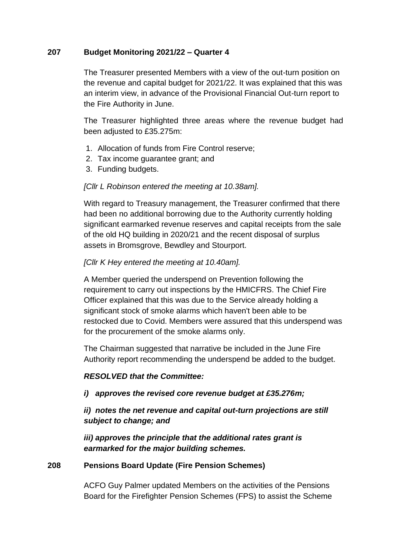### **207 Budget Monitoring 2021/22 – Quarter 4**

The Treasurer presented Members with a view of the out-turn position on the revenue and capital budget for 2021/22. It was explained that this was an interim view, in advance of the Provisional Financial Out-turn report to the Fire Authority in June.

The Treasurer highlighted three areas where the revenue budget had been adjusted to £35.275m:

- 1. Allocation of funds from Fire Control reserve;
- 2. Tax income guarantee grant; and
- 3. Funding budgets.

### *[Cllr L Robinson entered the meeting at 10.38am].*

With regard to Treasury management, the Treasurer confirmed that there had been no additional borrowing due to the Authority currently holding significant earmarked revenue reserves and capital receipts from the sale of the old HQ building in 2020/21 and the recent disposal of surplus assets in Bromsgrove, Bewdley and Stourport.

# *[Cllr K Hey entered the meeting at 10.40am].*

A Member queried the underspend on Prevention following the requirement to carry out inspections by the HMICFRS. The Chief Fire Officer explained that this was due to the Service already holding a significant stock of smoke alarms which haven't been able to be restocked due to Covid. Members were assured that this underspend was for the procurement of the smoke alarms only.

The Chairman suggested that narrative be included in the June Fire Authority report recommending the underspend be added to the budget.

#### *RESOLVED that the Committee:*

#### *i) approves the revised core revenue budget at £35.276m;*

*ii) notes the net revenue and capital out-turn projections are still subject to change; and*

*iii) approves the principle that the additional rates grant is earmarked for the major building schemes.*

#### **208 Pensions Board Update (Fire Pension Schemes)**

ACFO Guy Palmer updated Members on the activities of the Pensions Board for the Firefighter Pension Schemes (FPS) to assist the Scheme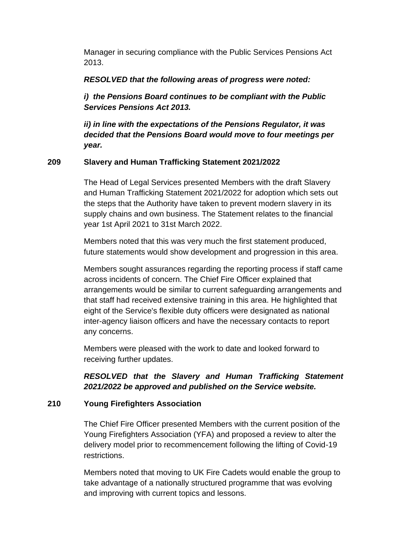Manager in securing compliance with the Public Services Pensions Act 2013.

*RESOLVED that the following areas of progress were noted:*

*i) the Pensions Board continues to be compliant with the Public Services Pensions Act 2013.*

*ii) in line with the expectations of the Pensions Regulator, it was decided that the Pensions Board would move to four meetings per year.*

#### **209 Slavery and Human Trafficking Statement 2021/2022**

The Head of Legal Services presented Members with the draft Slavery and Human Trafficking Statement 2021/2022 for adoption which sets out the steps that the Authority have taken to prevent modern slavery in its supply chains and own business. The Statement relates to the financial year 1st April 2021 to 31st March 2022.

Members noted that this was very much the first statement produced, future statements would show development and progression in this area.

Members sought assurances regarding the reporting process if staff came across incidents of concern. The Chief Fire Officer explained that arrangements would be similar to current safeguarding arrangements and that staff had received extensive training in this area. He highlighted that eight of the Service's flexible duty officers were designated as national inter-agency liaison officers and have the necessary contacts to report any concerns.

Members were pleased with the work to date and looked forward to receiving further updates.

*RESOLVED that the Slavery and Human Trafficking Statement 2021/2022 be approved and published on the Service website.*

#### **210 Young Firefighters Association**

The Chief Fire Officer presented Members with the current position of the Young Firefighters Association (YFA) and proposed a review to alter the delivery model prior to recommencement following the lifting of Covid-19 restrictions.

Members noted that moving to UK Fire Cadets would enable the group to take advantage of a nationally structured programme that was evolving and improving with current topics and lessons.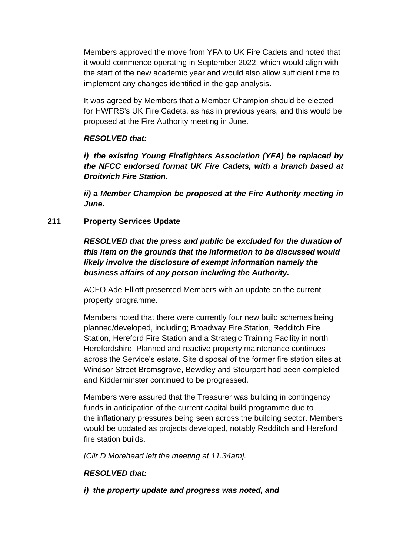Members approved the move from YFA to UK Fire Cadets and noted that it would commence operating in September 2022, which would align with the start of the new academic year and would also allow sufficient time to implement any changes identified in the gap analysis.

It was agreed by Members that a Member Champion should be elected for HWFRS's UK Fire Cadets, as has in previous years, and this would be proposed at the Fire Authority meeting in June.

### *RESOLVED that:*

*i) the existing Young Firefighters Association (YFA) be replaced by the NFCC endorsed format UK Fire Cadets, with a branch based at Droitwich Fire Station.*

*ii) a Member Champion be proposed at the Fire Authority meeting in June.*

# **211 Property Services Update**

*RESOLVED that the press and public be excluded for the duration of this item on the grounds that the information to be discussed would likely involve the disclosure of exempt information namely the business affairs of any person including the Authority.*

ACFO Ade Elliott presented Members with an update on the current property programme.

Members noted that there were currently four new build schemes being planned/developed, including; Broadway Fire Station, Redditch Fire Station, Hereford Fire Station and a Strategic Training Facility in north Herefordshire. Planned and reactive property maintenance continues across the Service's estate. Site disposal of the former fire station sites at Windsor Street Bromsgrove, Bewdley and Stourport had been completed and Kidderminster continued to be progressed.

Members were assured that the Treasurer was building in contingency funds in anticipation of the current capital build programme due to the inflationary pressures being seen across the building sector. Members would be updated as projects developed, notably Redditch and Hereford fire station builds.

*[Cllr D Morehead left the meeting at 11.34am].*

# *RESOLVED that:*

*i) the property update and progress was noted, and*